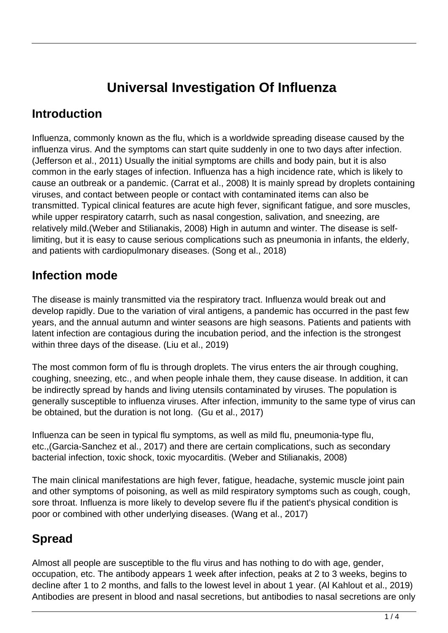# **Universal Investigation Of Influenza**

### **Introduction**

Influenza, commonly known as the flu, which is a worldwide spreading disease caused by the influenza virus. And the symptoms can start quite suddenly in one to two days after infection. (Jefferson et al., 2011) Usually the initial symptoms are chills and body pain, but it is also common in the early stages of infection. Influenza has a high incidence rate, which is likely to cause an outbreak or a pandemic. (Carrat et al., 2008) It is mainly spread by droplets containing viruses, and contact between people or contact with contaminated items can also be transmitted. Typical clinical features are acute high fever, significant fatigue, and sore muscles, while upper respiratory catarrh, such as nasal congestion, salivation, and sneezing, are relatively mild.(Weber and Stilianakis, 2008) High in autumn and winter. The disease is selflimiting, but it is easy to cause serious complications such as pneumonia in infants, the elderly, and patients with cardiopulmonary diseases. (Song et al., 2018)

### **Infection mode**

The disease is mainly transmitted via the respiratory tract. Influenza would break out and develop rapidly. Due to the variation of viral antigens, a pandemic has occurred in the past few years, and the annual autumn and winter seasons are high seasons. Patients and patients with latent infection are contagious during the incubation period, and the infection is the strongest within three days of the disease. (Liu et al., 2019)

The most common form of flu is through droplets. The virus enters the air through coughing, coughing, sneezing, etc., and when people inhale them, they cause disease. In addition, it can be indirectly spread by hands and living utensils contaminated by viruses. The population is generally susceptible to influenza viruses. After infection, immunity to the same type of virus can be obtained, but the duration is not long. (Gu et al., 2017)

Influenza can be seen in typical flu symptoms, as well as mild flu, pneumonia-type flu, etc.,(Garcia-Sanchez et al., 2017) and there are certain complications, such as secondary bacterial infection, toxic shock, toxic myocarditis. (Weber and Stilianakis, 2008)

The main clinical manifestations are high fever, fatigue, headache, systemic muscle joint pain and other symptoms of poisoning, as well as mild respiratory symptoms such as cough, cough, sore throat. Influenza is more likely to develop severe flu if the patient's physical condition is poor or combined with other underlying diseases. (Wang et al., 2017)

## **Spread**

Almost all people are susceptible to the flu virus and has nothing to do with age, gender, occupation, etc. The antibody appears 1 week after infection, peaks at 2 to 3 weeks, begins to decline after 1 to 2 months, and falls to the lowest level in about 1 year. (Al Kahlout et al., 2019) Antibodies are present in blood and nasal secretions, but antibodies to nasal secretions are only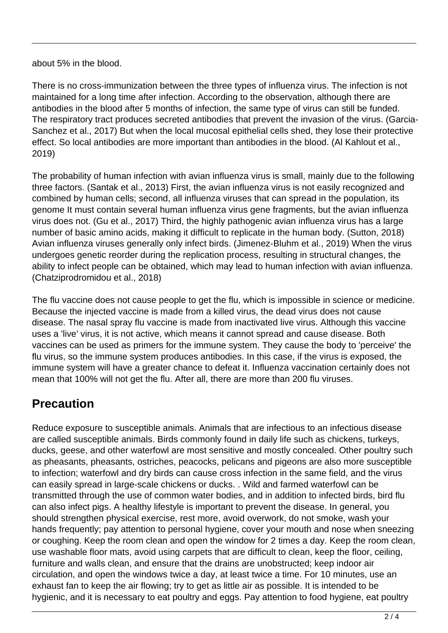#### about 5% in the blood.

There is no cross-immunization between the three types of influenza virus. The infection is not maintained for a long time after infection. According to the observation, although there are antibodies in the blood after 5 months of infection, the same type of virus can still be funded. The respiratory tract produces secreted antibodies that prevent the invasion of the virus. (Garcia-Sanchez et al., 2017) But when the local mucosal epithelial cells shed, they lose their protective effect. So local antibodies are more important than antibodies in the blood. (Al Kahlout et al., 2019)

The probability of human infection with avian influenza virus is small, mainly due to the following three factors. (Santak et al., 2013) First, the avian influenza virus is not easily recognized and combined by human cells; second, all influenza viruses that can spread in the population, its genome It must contain several human influenza virus gene fragments, but the avian influenza virus does not. (Gu et al., 2017) Third, the highly pathogenic avian influenza virus has a large number of basic amino acids, making it difficult to replicate in the human body. (Sutton, 2018) Avian influenza viruses generally only infect birds. (Jimenez-Bluhm et al., 2019) When the virus undergoes genetic reorder during the replication process, resulting in structural changes, the ability to infect people can be obtained, which may lead to human infection with avian influenza. (Chatziprodromidou et al., 2018)

The flu vaccine does not cause people to get the flu, which is impossible in science or medicine. Because the injected vaccine is made from a killed virus, the dead virus does not cause disease. The nasal spray flu vaccine is made from inactivated live virus. Although this vaccine uses a 'live' virus, it is not active, which means it cannot spread and cause disease. Both vaccines can be used as primers for the immune system. They cause the body to 'perceive' the flu virus, so the immune system produces antibodies. In this case, if the virus is exposed, the immune system will have a greater chance to defeat it. Influenza vaccination certainly does not mean that 100% will not get the flu. After all, there are more than 200 flu viruses.

### **Precaution**

Reduce exposure to susceptible animals. Animals that are infectious to an infectious disease are called susceptible animals. Birds commonly found in daily life such as chickens, turkeys, ducks, geese, and other waterfowl are most sensitive and mostly concealed. Other poultry such as pheasants, pheasants, ostriches, peacocks, pelicans and pigeons are also more susceptible to infection; waterfowl and dry birds can cause cross infection in the same field, and the virus can easily spread in large-scale chickens or ducks. . Wild and farmed waterfowl can be transmitted through the use of common water bodies, and in addition to infected birds, bird flu can also infect pigs. A healthy lifestyle is important to prevent the disease. In general, you should strengthen physical exercise, rest more, avoid overwork, do not smoke, wash your hands frequently; pay attention to personal hygiene, cover your mouth and nose when sneezing or coughing. Keep the room clean and open the window for 2 times a day. Keep the room clean, use washable floor mats, avoid using carpets that are difficult to clean, keep the floor, ceiling, furniture and walls clean, and ensure that the drains are unobstructed; keep indoor air circulation, and open the windows twice a day, at least twice a time. For 10 minutes, use an exhaust fan to keep the air flowing; try to get as little air as possible. It is intended to be hygienic, and it is necessary to eat poultry and eggs. Pay attention to food hygiene, eat poultry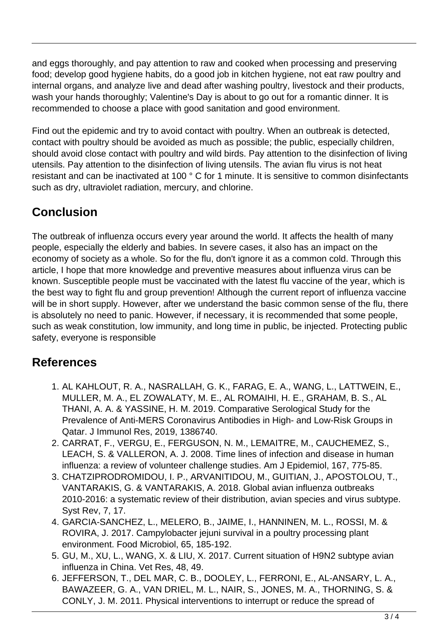and eggs thoroughly, and pay attention to raw and cooked when processing and preserving food; develop good hygiene habits, do a good job in kitchen hygiene, not eat raw poultry and internal organs, and analyze live and dead after washing poultry, livestock and their products, wash your hands thoroughly; Valentine's Day is about to go out for a romantic dinner. It is recommended to choose a place with good sanitation and good environment.

Find out the epidemic and try to avoid contact with poultry. When an outbreak is detected, contact with poultry should be avoided as much as possible; the public, especially children, should avoid close contact with poultry and wild birds. Pay attention to the disinfection of living utensils. Pay attention to the disinfection of living utensils. The avian flu virus is not heat resistant and can be inactivated at 100 ° C for 1 minute. It is sensitive to common disinfectants such as dry, ultraviolet radiation, mercury, and chlorine.

# **Conclusion**

The outbreak of influenza occurs every year around the world. It affects the health of many people, especially the elderly and babies. In severe cases, it also has an impact on the economy of society as a whole. So for the flu, don't ignore it as a common cold. Through this article, I hope that more knowledge and preventive measures about influenza virus can be known. Susceptible people must be vaccinated with the latest flu vaccine of the year, which is the best way to fight flu and group prevention! Although the current report of influenza vaccine will be in short supply. However, after we understand the basic common sense of the flu, there is absolutely no need to panic. However, if necessary, it is recommended that some people, such as weak constitution, low immunity, and long time in public, be injected. Protecting public safety, everyone is responsible

### **References**

- 1. AL KAHLOUT, R. A., NASRALLAH, G. K., FARAG, E. A., WANG, L., LATTWEIN, E., MULLER, M. A., EL ZOWALATY, M. E., AL ROMAIHI, H. E., GRAHAM, B. S., AL THANI, A. A. & YASSINE, H. M. 2019. Comparative Serological Study for the Prevalence of Anti-MERS Coronavirus Antibodies in High- and Low-Risk Groups in Qatar. J Immunol Res, 2019, 1386740.
- 2. CARRAT, F., VERGU, E., FERGUSON, N. M., LEMAITRE, M., CAUCHEMEZ, S., LEACH, S. & VALLERON, A. J. 2008. Time lines of infection and disease in human influenza: a review of volunteer challenge studies. Am J Epidemiol, 167, 775-85.
- 3. CHATZIPRODROMIDOU, I. P., ARVANITIDOU, M., GUITIAN, J., APOSTOLOU, T., VANTARAKIS, G. & VANTARAKIS, A. 2018. Global avian influenza outbreaks 2010-2016: a systematic review of their distribution, avian species and virus subtype. Syst Rev, 7, 17.
- 4. GARCIA-SANCHEZ, L., MELERO, B., JAIME, I., HANNINEN, M. L., ROSSI, M. & ROVIRA, J. 2017. Campylobacter jejuni survival in a poultry processing plant environment. Food Microbiol, 65, 185-192.
- 5. GU, M., XU, L., WANG, X. & LIU, X. 2017. Current situation of H9N2 subtype avian influenza in China. Vet Res, 48, 49.
- 6. JEFFERSON, T., DEL MAR, C. B., DOOLEY, L., FERRONI, E., AL-ANSARY, L. A., BAWAZEER, G. A., VAN DRIEL, M. L., NAIR, S., JONES, M. A., THORNING, S. & CONLY, J. M. 2011. Physical interventions to interrupt or reduce the spread of